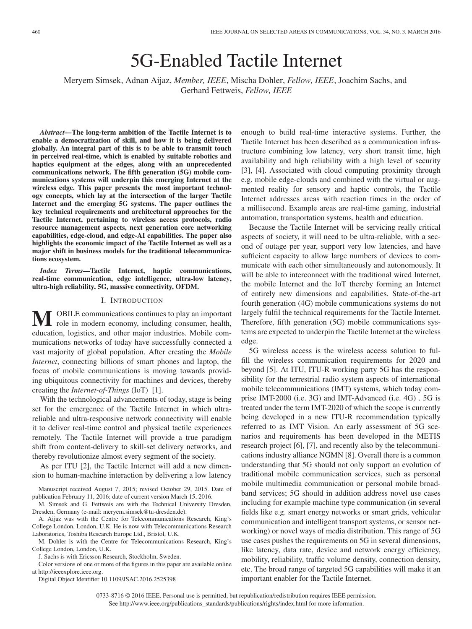# 5G-Enabled Tactile Internet

Meryem Simsek, Adnan Aijaz, *Member, IEEE*, Mischa Dohler, *Fellow, IEEE*, Joachim Sachs, and Gerhard Fettweis, *Fellow, IEEE*

*Abstract—***The long-term ambition of the Tactile Internet is to enable a democratization of skill, and how it is being delivered globally. An integral part of this is to be able to transmit touch in perceived real-time, which is enabled by suitable robotics and haptics equipment at the edges, along with an unprecedented communications network. The fifth generation (5G) mobile communications systems will underpin this emerging Internet at the wireless edge. This paper presents the most important technology concepts, which lay at the intersection of the larger Tactile Internet and the emerging 5G systems. The paper outlines the key technical requirements and architectural approaches for the Tactile Internet, pertaining to wireless access protocols, radio resource management aspects, next generation core networking capabilities, edge-cloud, and edge-AI capabilities. The paper also highlights the economic impact of the Tactile Internet as well as a major shift in business models for the traditional telecommunications ecosystem.**

*Index Terms—***Tactile Internet, haptic communications, real-time communication, edge intelligence, ultra-low latency, ultra-high reliability, 5G, massive connectivity, OFDM.**

#### I. INTRODUCTION

**M** OBILE communications continues to play an important role in modern economy, including consumer, health, education, logistics, and other major industries. Mobile communications networks of today have successfully connected a vast majority of global population. After creating the *Mobile Internet*, connecting billions of smart phones and laptop, the focus of mobile communications is moving towards providing ubiquitous connectivity for machines and devices, thereby creating the *Internet-of-Things* (IoT) [1].

With the technological advancements of today, stage is being set for the emergence of the Tactile Internet in which ultrareliable and ultra-responsive network connectivity will enable it to deliver real-time control and physical tactile experiences remotely. The Tactile Internet will provide a true paradigm shift from content-delivery to skill-set delivery networks, and thereby revolutionize almost every segment of the society.

As per ITU [2], the Tactile Internet will add a new dimension to human-machine interaction by delivering a low latency

M. Simsek and G. Fettweis are with the Technical University Dresden, Dresden, Germany (e-mail: meryem.simsek@tu-dresden.de).

A. Aijaz was with the Centre for Telecommunications Research, King's College London, London, U.K. He is now with Telecommunications Research Laboratories, Toshiba Research Europe Ltd., Bristol, U.K.

M. Dohler is with the Centre for Telecommunications Research, King's College London, London, U.K.

J. Sachs is with Ericsson Research, Stockholm, Sweden.

Color versions of one or more of the figures in this paper are available online at http://ieeexplore.ieee.org.

Digital Object Identifier 10.1109/JSAC.2016.2525398

enough to build real-time interactive systems. Further, the Tactile Internet has been described as a communication infrastructure combining low latency, very short transit time, high availability and high reliability with a high level of security [3], [4]. Associated with cloud computing proximity through e.g. mobile edge-clouds and combined with the virtual or augmented reality for sensory and haptic controls, the Tactile Internet addresses areas with reaction times in the order of a millisecond. Example areas are real-time gaming, industrial automation, transportation systems, health and education.

Because the Tactile Internet will be servicing really critical aspects of society, it will need to be ultra-reliable, with a second of outage per year, support very low latencies, and have sufficient capacity to allow large numbers of devices to communicate with each other simultaneously and autonomously. It will be able to interconnect with the traditional wired Internet, the mobile Internet and the IoT thereby forming an Internet of entirely new dimensions and capabilities. State-of-the-art fourth generation (4G) mobile communications systems do not largely fulfil the technical requirements for the Tactile Internet. Therefore, fifth generation (5G) mobile communications systems are expected to underpin the Tactile Internet at the wireless edge.

5G wireless access is the wireless access solution to fulfill the wireless communication requirements for 2020 and beyond [5]. At ITU, ITU-R working party 5G has the responsibility for the terrestrial radio system aspects of international mobile telecommunications (IMT) systems, which today comprise IMT-2000 (i.e. 3G) and IMT-Advanced (i.e. 4G) . 5G is treated under the term IMT-2020 of which the scope is currently being developed in a new ITU-R recommendation typically referred to as IMT Vision. An early assessment of 5G scenarios and requirements has been developed in the METIS research project [6], [7], and recently also by the telecommunications industry alliance NGMN [8]. Overall there is a common understanding that 5G should not only support an evolution of traditional mobile communication services, such as personal mobile multimedia communication or personal mobile broadband services; 5G should in addition address novel use cases including for example machine type communication (in several fields like e.g. smart energy networks or smart grids, vehicular communication and intelligent transport systems, or sensor networking) or novel ways of media distribution. This range of 5G use cases pushes the requirements on 5G in several dimensions, like latency, data rate, device and network energy efficiency, mobility, reliability, traffic volume density, connection density, etc. The broad range of targeted 5G capabilities will make it an important enabler for the Tactile Internet.

0733-8716 © 2016 IEEE. Personal use is permitted, but republication/redistribution requires IEEE permission. See http://www.ieee.org/publications\_standards/publications/rights/index.html for more information.

Manuscript received August 7, 2015; revised October 29, 2015. Date of publication February 11, 2016; date of current version March 15, 2016.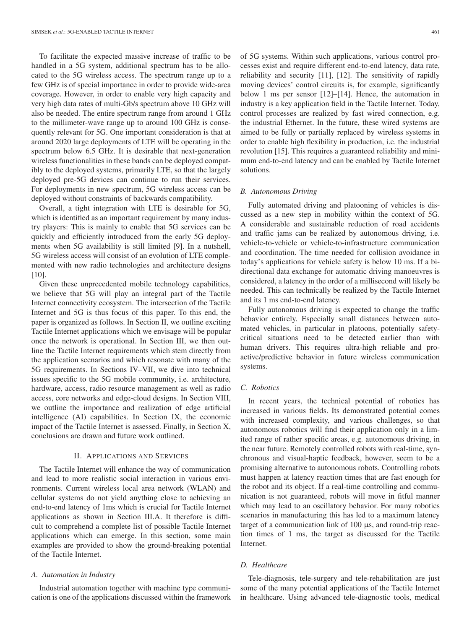To facilitate the expected massive increase of traffic to be handled in a 5G system, additional spectrum has to be allocated to the 5G wireless access. The spectrum range up to a few GHz is of special importance in order to provide wide-area coverage. However, in order to enable very high capacity and very high data rates of multi-Gb/s spectrum above 10 GHz will also be needed. The entire spectrum range from around 1 GHz to the millimeter-wave range up to around 100 GHz is consequently relevant for 5G. One important consideration is that at around 2020 large deployments of LTE will be operating in the spectrum below 6.5 GHz. It is desirable that next-generation wireless functionalities in these bands can be deployed compatibly to the deployed systems, primarily LTE, so that the largely deployed pre-5G devices can continue to run their services. For deployments in new spectrum, 5G wireless access can be deployed without constraints of backwards compatibility.

Overall, a tight integration with LTE is desirable for 5G, which is identified as an important requirement by many industry players: This is mainly to enable that 5G services can be quickly and efficiently introduced from the early 5G deployments when 5G availability is still limited [9]. In a nutshell, 5G wireless access will consist of an evolution of LTE complemented with new radio technologies and architecture designs [10].

Given these unprecedented mobile technology capabilities, we believe that 5G will play an integral part of the Tactile Internet connectivity ecosystem. The intersection of the Tactile Internet and 5G is thus focus of this paper. To this end, the paper is organized as follows. In Section II, we outline exciting Tactile Internet applications which we envisage will be popular once the network is operational. In Section III, we then outline the Tactile Internet requirements which stem directly from the application scenarios and which resonate with many of the 5G requirements. In Sections IV–VII, we dive into technical issues specific to the 5G mobile community, i.e. architecture, hardware, access, radio resource management as well as radio access, core networks and edge-cloud designs. In Section VIII, we outline the importance and realization of edge artificial intelligence (AI) capabilities. In Section IX, the economic impact of the Tactile Internet is assessed. Finally, in Section X, conclusions are drawn and future work outlined.

#### II. APPLICATIONS AND SERVICES

The Tactile Internet will enhance the way of communication and lead to more realistic social interaction in various environments. Current wireless local area network (WLAN) and cellular systems do not yield anything close to achieving an end-to-end latency of 1ms which is crucial for Tactile Internet applications as shown in Section III.A. It therefore is difficult to comprehend a complete list of possible Tactile Internet applications which can emerge. In this section, some main examples are provided to show the ground-breaking potential of the Tactile Internet.

#### *A. Automation in Industry*

Industrial automation together with machine type communication is one of the applications discussed within the framework of 5G systems. Within such applications, various control processes exist and require different end-to-end latency, data rate, reliability and security [11], [12]. The sensitivity of rapidly moving devices' control circuits is, for example, significantly below 1 ms per sensor [12]–[14]. Hence, the automation in industry is a key application field in the Tactile Internet. Today, control processes are realized by fast wired connection, e.g. the industrial Ethernet. In the future, these wired systems are aimed to be fully or partially replaced by wireless systems in order to enable high flexibility in production, i.e. the industrial revolution [15]. This requires a guaranteed reliability and minimum end-to-end latency and can be enabled by Tactile Internet solutions.

#### *B. Autonomous Driving*

Fully automated driving and platooning of vehicles is discussed as a new step in mobility within the context of 5G. A considerable and sustainable reduction of road accidents and traffic jams can be realized by autonomous driving, i.e. vehicle-to-vehicle or vehicle-to-infrastructure communication and coordination. The time needed for collision avoidance in today's applications for vehicle safety is below 10 ms. If a bidirectional data exchange for automatic driving manoeuvres is considered, a latency in the order of a millisecond will likely be needed. This can technically be realized by the Tactile Internet and its 1 ms end-to-end latency.

Fully autonomous driving is expected to change the traffic behavior entirely. Especially small distances between automated vehicles, in particular in platoons, potentially safetycritical situations need to be detected earlier than with human drivers. This requires ultra-high reliable and proactive/predictive behavior in future wireless communication systems.

# *C. Robotics*

In recent years, the technical potential of robotics has increased in various fields. Its demonstrated potential comes with increased complexity, and various challenges, so that autonomous robotics will find their application only in a limited range of rather specific areas, e.g. autonomous driving, in the near future. Remotely controlled robots with real-time, synchronous and visual-haptic feedback, however, seem to be a promising alternative to autonomous robots. Controlling robots must happen at latency reaction times that are fast enough for the robot and its object. If a real-time controlling and communication is not guaranteed, robots will move in fitful manner which may lead to an oscillatory behavior. For many robotics scenarios in manufacturing this has led to a maximum latency target of a communication link of 100 µs, and round-trip reaction times of 1 ms, the target as discussed for the Tactile Internet.

# *D. Healthcare*

Tele-diagnosis, tele-surgery and tele-rehabilitation are just some of the many potential applications of the Tactile Internet in healthcare. Using advanced tele-diagnostic tools, medical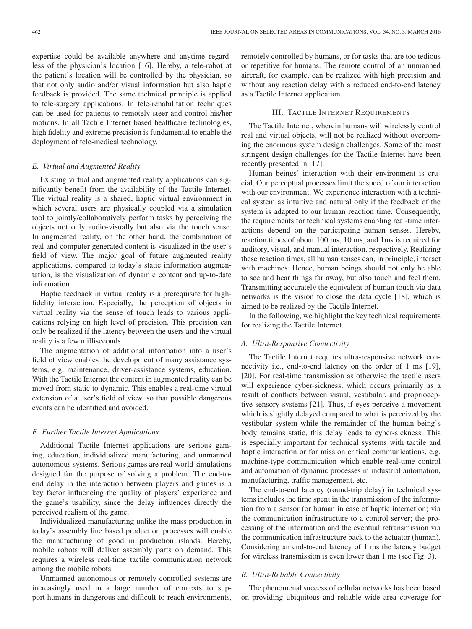expertise could be available anywhere and anytime regardless of the physician's location [16]. Hereby, a tele-robot at the patient's location will be controlled by the physician, so that not only audio and/or visual information but also haptic feedback is provided. The same technical principle is applied to tele-surgery applications. In tele-rehabilitation techniques can be used for patients to remotely steer and control his/her motions. In all Tactile Internet based healthcare technologies, high fidelity and extreme precision is fundamental to enable the deployment of tele-medical technology.

# *E. Virtual and Augmented Reality*

Existing virtual and augmented reality applications can significantly benefit from the availability of the Tactile Internet. The virtual reality is a shared, haptic virtual environment in which several users are physically coupled via a simulation tool to jointly/collaboratively perform tasks by perceiving the objects not only audio-visually but also via the touch sense. In augmented reality, on the other hand, the combination of real and computer generated content is visualized in the user's field of view. The major goal of future augmented reality applications, compared to today's static information augmentation, is the visualization of dynamic content and up-to-date information.

Haptic feedback in virtual reality is a prerequisite for highfidelity interaction. Especially, the perception of objects in virtual reality via the sense of touch leads to various applications relying on high level of precision. This precision can only be realized if the latency between the users and the virtual reality is a few milliseconds.

The augmentation of additional information into a user's field of view enables the development of many assistance systems, e.g. maintenance, driver-assistance systems, education. With the Tactile Internet the content in augmented reality can be moved from static to dynamic. This enables a real-time virtual extension of a user's field of view, so that possible dangerous events can be identified and avoided.

# *F. Further Tactile Internet Applications*

Additional Tactile Internet applications are serious gaming, education, individualized manufacturing, and unmanned autonomous systems. Serious games are real-world simulations designed for the purpose of solving a problem. The end-toend delay in the interaction between players and games is a key factor influencing the quality of players' experience and the game's usability, since the delay influences directly the perceived realism of the game.

Individualized manufacturing unlike the mass production in today's assembly line based production processes will enable the manufacturing of good in production islands. Hereby, mobile robots will deliver assembly parts on demand. This requires a wireless real-time tactile communication network among the mobile robots.

Unmanned autonomous or remotely controlled systems are increasingly used in a large number of contexts to support humans in dangerous and difficult-to-reach environments, remotely controlled by humans, or for tasks that are too tedious or repetitive for humans. The remote control of an unmanned aircraft, for example, can be realized with high precision and without any reaction delay with a reduced end-to-end latency as a Tactile Internet application.

#### III. TACTILE INTERNET REQUIREMENTS

The Tactile Internet, wherein humans will wirelessly control real and virtual objects, will not be realized without overcoming the enormous system design challenges. Some of the most stringent design challenges for the Tactile Internet have been recently presented in [17].

Human beings' interaction with their environment is crucial. Our perceptual processes limit the speed of our interaction with our environment. We experience interaction with a technical system as intuitive and natural only if the feedback of the system is adapted to our human reaction time. Consequently, the requirements for technical systems enabling real-time interactions depend on the participating human senses. Hereby, reaction times of about 100 ms, 10 ms, and 1ms is required for auditory, visual, and manual interaction, respectively. Realizing these reaction times, all human senses can, in principle, interact with machines. Hence, human beings should not only be able to see and hear things far away, but also touch and feel them. Transmitting accurately the equivalent of human touch via data networks is the vision to close the data cycle [18], which is aimed to be realized by the Tactile Internet.

In the following, we highlight the key technical requirements for realizing the Tactile Internet.

#### *A. Ultra-Responsive Connectivity*

The Tactile Internet requires ultra-responsive network connectivity i.e., end-to-end latency on the order of 1 ms [19], [20]. For real-time transmission as otherwise the tactile users will experience cyber-sickness, which occurs primarily as a result of conflicts between visual, vestibular, and proprioceptive sensory systems [21]. Thus, if eyes perceive a movement which is slightly delayed compared to what is perceived by the vestibular system while the remainder of the human being's body remains static, this delay leads to cyber-sickness. This is especially important for technical systems with tactile and haptic interaction or for mission critical communications, e.g. machine-type communication which enable real-time control and automation of dynamic processes in industrial automation, manufacturing, traffic management, etc.

The end-to-end latency (round-trip delay) in technical systems includes the time spent in the transmission of the information from a sensor (or human in case of haptic interaction) via the communication infrastructure to a control server; the processing of the information and the eventual retransmission via the communication infrastructure back to the actuator (human). Considering an end-to-end latency of 1 ms the latency budget for wireless transmission is even lower than 1 ms (see Fig. 3).

#### *B. Ultra-Reliable Connectivity*

The phenomenal success of cellular networks has been based on providing ubiquitous and reliable wide area coverage for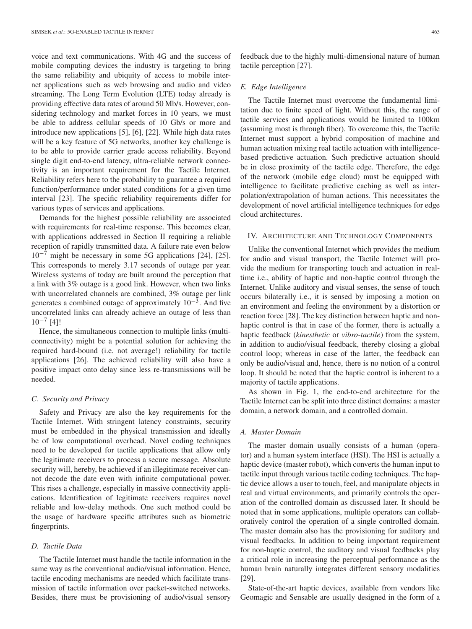voice and text communications. With 4G and the success of mobile computing devices the industry is targeting to bring the same reliability and ubiquity of access to mobile internet applications such as web browsing and audio and video streaming. The Long Term Evolution (LTE) today already is providing effective data rates of around 50 Mb/s. However, considering technology and market forces in 10 years, we must be able to address cellular speeds of 10 Gb/s or more and introduce new applications [5], [6], [22]. While high data rates will be a key feature of 5G networks, another key challenge is to be able to provide carrier grade access reliability. Beyond single digit end-to-end latency, ultra-reliable network connectivity is an important requirement for the Tactile Internet. Reliability refers here to the probability to guarantee a required function/performance under stated conditions for a given time interval [23]. The specific reliability requirements differ for various types of services and applications.

Demands for the highest possible reliability are associated with requirements for real-time response. This becomes clear, with applications addressed in Section II requiring a reliable reception of rapidly transmitted data. A failure rate even below  $10^{-7}$  might be necessary in some 5G applications [24], [25]. This corresponds to merely 3.17 seconds of outage per year. Wireless systems of today are built around the perception that a link with 3% outage is a good link. However, when two links with uncorrelated channels are combined, 3% outage per link generates a combined outage of approximately  $10^{-3}$ . And five uncorrelated links can already achieve an outage of less than  $10^{-7}$  [4]!

Hence, the simultaneous connection to multiple links (multiconnectivity) might be a potential solution for achieving the required hard-bound (i.e. not average!) reliability for tactile applications [26]. The achieved reliability will also have a positive impact onto delay since less re-transmissions will be needed.

# *C. Security and Privacy*

Safety and Privacy are also the key requirements for the Tactile Internet. With stringent latency constraints, security must be embedded in the physical transmission and ideally be of low computational overhead. Novel coding techniques need to be developed for tactile applications that allow only the legitimate receivers to process a secure message. Absolute security will, hereby, be achieved if an illegitimate receiver cannot decode the date even with infinite computational power. This rises a challenge, especially in massive connectivity applications. Identification of legitimate receivers requires novel reliable and low-delay methods. One such method could be the usage of hardware specific attributes such as biometric fingerprints.

# *D. Tactile Data*

The Tactile Internet must handle the tactile information in the same way as the conventional audio/visual information. Hence, tactile encoding mechanisms are needed which facilitate transmission of tactile information over packet-switched networks. Besides, there must be provisioning of audio/visual sensory feedback due to the highly multi-dimensional nature of human tactile perception [27].

#### *E. Edge Intelligence*

The Tactile Internet must overcome the fundamental limitation due to finite speed of light. Without this, the range of tactile services and applications would be limited to 100km (assuming most is through fiber). To overcome this, the Tactile Internet must support a hybrid composition of machine and human actuation mixing real tactile actuation with intelligencebased predictive actuation. Such predictive actuation should be in close proximity of the tactile edge. Therefore, the edge of the network (mobile edge cloud) must be equipped with intelligence to facilitate predictive caching as well as interpolation/extrapolation of human actions. This necessitates the development of novel artificial intelligence techniques for edge cloud architectures.

#### IV. ARCHITECTURE AND TECHNOLOGY COMPONENTS

Unlike the conventional Internet which provides the medium for audio and visual transport, the Tactile Internet will provide the medium for transporting touch and actuation in realtime i.e., ability of haptic and non-haptic control through the Internet. Unlike auditory and visual senses, the sense of touch occurs bilaterally i.e., it is sensed by imposing a motion on an environment and feeling the environment by a distortion or reaction force [28]. The key distinction between haptic and nonhaptic control is that in case of the former, there is actually a haptic feedback (*kinesthetic* or *vibro-tactile*) from the system, in addition to audio/visual feedback, thereby closing a global control loop; whereas in case of the latter, the feedback can only be audio/visual and, hence, there is no notion of a control loop. It should be noted that the haptic control is inherent to a majority of tactile applications.

As shown in Fig. 1, the end-to-end architecture for the Tactile Internet can be split into three distinct domains: a master domain, a network domain, and a controlled domain.

#### *A. Master Domain*

The master domain usually consists of a human (operator) and a human system interface (HSI). The HSI is actually a haptic device (master robot), which converts the human input to tactile input through various tactile coding techniques. The haptic device allows a user to touch, feel, and manipulate objects in real and virtual environments, and primarily controls the operation of the controlled domain as discussed later. It should be noted that in some applications, multiple operators can collaboratively control the operation of a single controlled domain. The master domain also has the provisioning for auditory and visual feedbacks. In addition to being important requirement for non-haptic control, the auditory and visual feedbacks play a critical role in increasing the perceptual performance as the human brain naturally integrates different sensory modalities [29].

State-of-the-art haptic devices, available from vendors like Geomagic and Sensable are usually designed in the form of a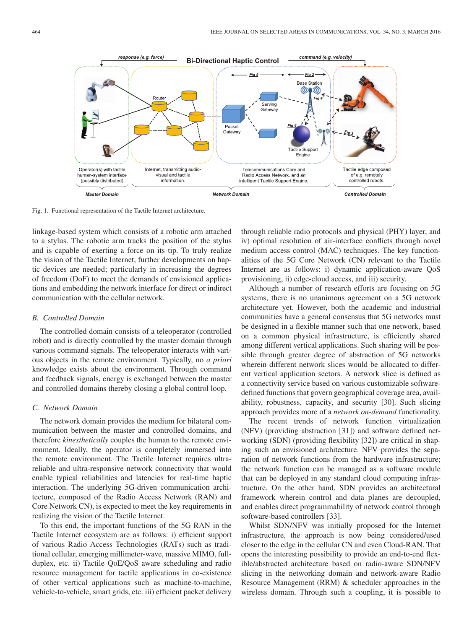

Fig. 1. Functional representation of the Tactile Internet architecture.

linkage-based system which consists of a robotic arm attached to a stylus. The robotic arm tracks the position of the stylus and is capable of exerting a force on its tip. To truly realize the vision of the Tactile Internet, further developments on haptic devices are needed; particularly in increasing the degrees of freedom (DoF) to meet the demands of envisioned applications and embedding the network interface for direct or indirect communication with the cellular network.

# *B. Controlled Domain*

The controlled domain consists of a teleoperator (controlled robot) and is directly controlled by the master domain through various command signals. The teleoperator interacts with various objects in the remote environment. Typically, no *a priori* knowledge exists about the environment. Through command and feedback signals, energy is exchanged between the master and controlled domains thereby closing a global control loop.

# *C. Network Domain*

The network domain provides the medium for bilateral communication between the master and controlled domains, and therefore *kinesthetically* couples the human to the remote environment. Ideally, the operator is completely immersed into the remote environment. The Tactile Internet requires ultrareliable and ultra-responsive network connectivity that would enable typical reliabilities and latencies for real-time haptic interaction. The underlying 5G-driven communication architecture, composed of the Radio Access Network (RAN) and Core Network CN), is expected to meet the key requirements in realizing the vision of the Tactile Internet.

To this end, the important functions of the 5G RAN in the Tactile Internet ecosystem are as follows: i) efficient support of various Radio Access Technologies (RATs) such as traditional cellular, emerging millimeter-wave, massive MIMO, fullduplex, etc. ii) Tactile QoE/QoS aware scheduling and radio resource management for tactile applications in co-existence of other vertical applications such as machine-to-machine, vehicle-to-vehicle, smart grids, etc. iii) efficient packet delivery through reliable radio protocols and physical (PHY) layer, and iv) optimal resolution of air-interface conflicts through novel medium access control (MAC) techniques. The key functionalities of the 5G Core Network (CN) relevant to the Tactile Internet are as follows: i) dynamic application-aware QoS provisioning, ii) edge-cloud access, and iii) security.

Although a number of research efforts are focusing on 5G systems, there is no unanimous agreement on a 5G network architecture yet. However, both the academic and industrial communities have a general consensus that 5G networks must be designed in a flexible manner such that one network, based on a common physical infrastructure, is efficiently shared among different vertical applications. Such sharing will be possible through greater degree of abstraction of 5G networks wherein different network slices would be allocated to different vertical application sectors. A network slice is defined as a connectivity service based on various customizable softwaredefined functions that govern geographical coverage area, availability, robustness, capacity, and security [30]. Such slicing approach provides more of a *network on-demand* functionality.

The recent trends of network function virtualization (NFV) (providing abstraction [31]) and software defined networking (SDN) (providing flexibility [32]) are critical in shaping such an envisioned architecture. NFV provides the separation of network functions from the hardware infrastructure; the network function can be managed as a software module that can be deployed in any standard cloud computing infrastructure. On the other hand, SDN provides an architectural framework wherein control and data planes are decoupled, and enables direct programmability of network control through software-based controllers [33].

Whilst SDN/NFV was initially proposed for the Internet infrastructure, the approach is now being considered/used closer to the edge in the cellular CN and even Cloud-RAN. That opens the interesting possibility to provide an end-to-end flexible/abstracted architecture based on radio-aware SDN/NFV slicing in the networking domain and network-aware Radio Resource Management (RRM) & scheduler approaches in the wireless domain. Through such a coupling, it is possible to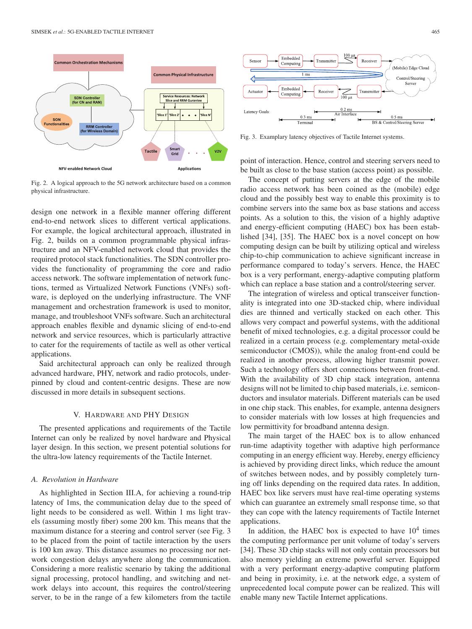

Fig. 2. A logical approach to the 5G network architecture based on a common physical infrastructure.

design one network in a flexible manner offering different end-to-end network slices to different vertical applications. For example, the logical architectural approach, illustrated in Fig. 2, builds on a common programmable physical infrastructure and an NFV-enabled network cloud that provides the required protocol stack functionalities. The SDN controller provides the functionality of programming the core and radio access network. The software implementation of network functions, termed as Virtualized Network Functions (VNFs) software, is deployed on the underlying infrastructure. The VNF management and orchestration framework is used to monitor, manage, and troubleshoot VNFs software. Such an architectural approach enables flexible and dynamic slicing of end-to-end network and service resources, which is particularly attractive to cater for the requirements of tactile as well as other vertical applications.

Said architectural approach can only be realized through advanced hardware, PHY, network and radio protocols, underpinned by cloud and content-centric designs. These are now discussed in more details in subsequent sections.

#### V. HARDWARE AND PHY DESIGN

The presented applications and requirements of the Tactile Internet can only be realized by novel hardware and Physical layer design. In this section, we present potential solutions for the ultra-low latency requirements of the Tactile Internet.

#### *A. Revolution in Hardware*

As highlighted in Section III.A, for achieving a round-trip latency of 1ms, the communication delay due to the speed of light needs to be considered as well. Within 1 ms light travels (assuming mostly fiber) some 200 km. This means that the maximum distance for a steering and control server (see Fig. 3 to be placed from the point of tactile interaction by the users is 100 km away. This distance assumes no processing nor network congestion delays anywhere along the communication. Considering a more realistic scenario by taking the additional signal processing, protocol handling, and switching and network delays into account, this requires the control/steering server, to be in the range of a few kilometers from the tactile



Fig. 3. Examplary latency objectives of Tactile Internet systems.

point of interaction. Hence, control and steering servers need to be built as close to the base station (access point) as possible.

The concept of putting servers at the edge of the mobile radio access network has been coined as the (mobile) edge cloud and the possibly best way to enable this proximity is to combine servers into the same box as base stations and access points. As a solution to this, the vision of a highly adaptive and energy-efficient computing (HAEC) box has been established [34], [35]. The HAEC box is a novel concept on how computing design can be built by utilizing optical and wireless chip-to-chip communication to achieve significant increase in performance compared to today's servers. Hence, the HAEC box is a very performant, energy-adaptive computing platform which can replace a base station and a control/steering server.

The integration of wireless and optical transceiver functionality is integrated into one 3D-stacked chip, where individual dies are thinned and vertically stacked on each other. This allows very compact and powerful systems, with the additional benefit of mixed technologies, e.g. a digital processor could be realized in a certain process (e.g. complementary metal-oxide semiconductor (CMOS)), while the analog front-end could be realized in another process, allowing higher transmit power. Such a technology offers short connections between front-end. With the availability of 3D chip stack integration, antenna designs will not be limited to chip based materials, i.e. semiconductors and insulator materials. Different materials can be used in one chip stack. This enables, for example, antenna designers to consider materials with low losses at high frequencies and low permittivity for broadband antenna design.

The main target of the HAEC box is to allow enhanced run-time adaptivity together with adaptive high performance computing in an energy efficient way. Hereby, energy efficiency is achieved by providing direct links, which reduce the amount of switches between nodes, and by possibly completely turning off links depending on the required data rates. In addition, HAEC box like servers must have real-time operating systems which can guarantee an extremely small response time, so that they can cope with the latency requirements of Tactile Internet applications.

In addition, the HAEC box is expected to have  $10<sup>4</sup>$  times the computing performance per unit volume of today's servers [34]. These 3D chip stacks will not only contain processors but also memory yielding an extreme powerful server. Equipped with a very performant energy-adaptive computing platform and being in proximity, i.e. at the network edge, a system of unprecedented local compute power can be realized. This will enable many new Tactile Internet applications.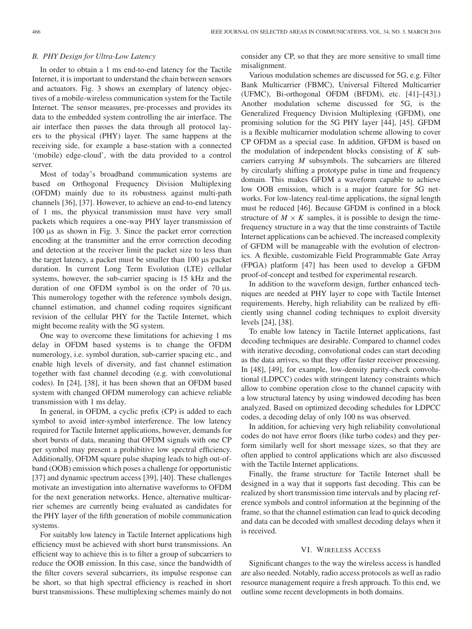# *B. PHY Design for Ultra-Low Latency*

In order to obtain a 1 ms end-to-end latency for the Tactile Internet, it is important to understand the chain between sensors and actuators. Fig. 3 shows an exemplary of latency objectives of a mobile-wireless communication system for the Tactile Internet. The sensor measures, pre-processes and provides its data to the embedded system controlling the air interface. The air interface then passes the data through all protocol layers to the physical (PHY) layer. The same happens at the receiving side, for example a base-station with a connected '(mobile) edge-cloud', with the data provided to a control server.

Most of today's broadband communication systems are based on Orthogonal Frequency Division Multiplexing (OFDM) mainly due to its robustness against multi-path channels [36], [37]. However, to achieve an end-to-end latency of 1 ms, the physical transmission must have very small packets which requires a one-way PHY layer transmission of 100 µs as shown in Fig. 3. Since the packet error correction encoding at the transmitter and the error correction decoding and detection at the receiver limit the packet size to less than the target latency, a packet must be smaller than 100 µs packet duration. In current Long Term Evolution (LTE) cellular systems, however, the sub-carrier spacing is 15 kHz and the duration of one OFDM symbol is on the order of 70 µs. This numerology together with the reference symbols design, channel estimation, and channel coding requires significant revision of the cellular PHY for the Tactile Internet, which might become reality with the 5G system.

One way to overcome these limitations for achieving 1 ms delay in OFDM based systems is to change the OFDM numerology, i.e. symbol duration, sub-carrier spacing etc., and enable high levels of diversity, and fast channel estimation together with fast channel decoding (e.g. with convolutional codes). In [24], [38], it has been shown that an OFDM based system with changed OFDM numerology can achieve reliable transmission with 1 ms delay.

In general, in OFDM, a cyclic prefix (CP) is added to each symbol to avoid inter-symbol interference. The low latency required for Tactile Internet applications, however, demands for short bursts of data, meaning that OFDM signals with one CP per symbol may present a prohibitive low spectral efficiency. Additionally, OFDM square pulse shaping leads to high out-ofband (OOB) emission which poses a challenge for opportunistic [37] and dynamic spectrum access [39], [40]. These challenges motivate an investigation into alternative waveforms to OFDM for the next generation networks. Hence, alternative multicarrier schemes are currently being evaluated as candidates for the PHY layer of the fifth generation of mobile communication systems.

For suitably low latency in Tactile Internet applications high efficiency must be achieved with short burst transmissions. An efficient way to achieve this is to filter a group of subcarriers to reduce the OOB emission. In this case, since the bandwidth of the filter covers several subcarriers, its impulse response can be short, so that high spectral efficiency is reached in short burst transmissions. These multiplexing schemes mainly do not consider any CP, so that they are more sensitive to small time misalignment.

Various modulation schemes are discussed for 5G, e.g. Filter Bank Multicarrier (FBMC), Universal Filtered Multicarrier (UFMC), Bi-orthogonal OFDM (BFDM), etc. [41]–[43].) Another modulation scheme discussed for 5G, is the Generalized Frequency Division Multiplexing (GFDM), one promising solution for the 5G PHY layer [44], [45]. GFDM is a flexible multicarrier modulation scheme allowing to cover CP OFDM as a special case. In addition, GFDM is based on the modulation of independent blocks consisting of *K* subcarriers carrying *M* subsymbols. The subcarriers are filtered by circularly shifting a prototype pulse in time and frequency domain. This makes GFDM a waveform capable to achieve low OOB emission, which is a major feature for 5G networks. For low-latency real-time applications, the signal length must be reduced [46]. Because GFDM is confined in a block structure of  $M \times K$  samples, it is possible to design the timefrequency structure in a way that the time constraints of Tactile Internet applications can be achieved. The increased complexity of GFDM will be manageable with the evolution of electronics. A flexible, customizable Field Programmable Gate Array (FPGA) platform [47] has been used to develop a GFDM proof-of-concept and testbed for experimental research.

In addition to the waveform design, further enhanced techniques are needed at PHY layer to cope with Tactile Internet requirements. Hereby, high reliability can be realized by efficiently using channel coding techniques to exploit diversity levels [24], [38].

To enable low latency in Tactile Internet applications, fast decoding techniques are desirable. Compared to channel codes with iterative decoding, convolutional codes can start decoding as the data arrives, so that they offer faster receiver processing. In [48], [49], for example, low-density parity-check convolutional (LDPCC) codes with stringent latency constraints which allow to combine operation close to the channel capacity with a low structural latency by using windowed decoding has been analyzed. Based on optimized decoding schedules for LDPCC codes, a decoding delay of only 100 ns was observed.

In addition, for achieving very high reliability convolutional codes do not have error floors (like turbo codes) and they perform similarly well for short message sizes, so that they are often applied to control applications which are also discussed with the Tactile Internet applications.

Finally, the frame structure for Tactile Internet shall be designed in a way that it supports fast decoding. This can be realized by short transmission time intervals and by placing reference symbols and control information at the beginning of the frame, so that the channel estimation can lead to quick decoding and data can be decoded with smallest decoding delays when it is received.

# VI. WIRELESS ACCESS

Significant changes to the way the wireless access is handled are also needed. Notably, radio access protocols as well as radio resource management require a fresh approach. To this end, we outline some recent developments in both domains.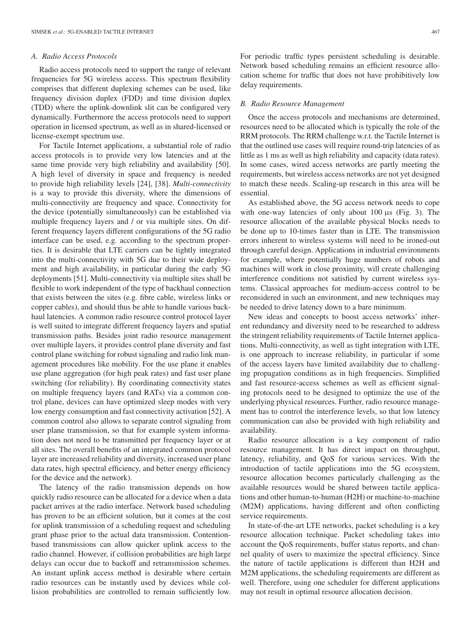#### *A. Radio Access Protocols*

Radio access protocols need to support the range of relevant frequencies for 5G wireless access. This spectrum flexibility comprises that different duplexing schemes can be used, like frequency division duplex (FDD) and time division duplex (TDD) where the uplink-downlink slit can be configured very dynamically. Furthermore the access protocols need to support operation in licensed spectrum, as well as in shared-licensed or license-exempt spectrum use.

For Tactile Internet applications, a substantial role of radio access protocols is to provide very low latencies and at the same time provide very high reliability and availability [50]. A high level of diversity in space and frequency is needed to provide high reliability levels [24], [38]. *Multi-connectivity* is a way to provide this diversity, where the dimensions of multi-connectivity are frequency and space. Connectivity for the device (potentially simultaneously) can be established via multiple frequency layers and / or via multiple sites. On different frequency layers different configurations of the 5G radio interface can be used, e.g. according to the spectrum properties. It is desirable that LTE carriers can be tightly integrated into the multi-connectivity with 5G due to their wide deployment and high availability, in particular during the early 5G deployments [51]. Multi-connectivity via multiple sites shall be flexible to work independent of the type of backhaul connection that exists between the sites (e.g. fibre cable, wireless links or copper cables), and should thus be able to handle various backhaul latencies. A common radio resource control protocol layer is well suited to integrate different frequency layers and spatial transmission paths. Besides joint radio resource management over multiple layers, it provides control plane diversity and fast control plane switching for robust signaling and radio link management procedures like mobility. For the use plane it enables use plane aggregation (for high peak rates) and fast user plane switching (for reliability). By coordinating connectivity states on multiple frequency layers (and RATs) via a common control plane, devices can have optimized sleep modes with very low energy consumption and fast connectivity activation [52]. A common control also allows to separate control signaling from user plane transmission, so that for example system information does not need to be transmitted per frequency layer or at all sites. The overall benefits of an integrated common protocol layer are increased reliability and diversity, increased user plane data rates, high spectral efficiency, and better energy efficiency for the device and the network).

The latency of the radio transmission depends on how quickly radio resource can be allocated for a device when a data packet arrives at the radio interface. Network based scheduling has proven to be an efficient solution, but it comes at the cost for uplink transmission of a scheduling request and scheduling grant phase prior to the actual data transmission. Contentionbased transmissions can allow quicker uplink access to the radio channel. However, if collision probabilities are high large delays can occur due to backoff and retransmission schemes. An instant uplink access method is desirable where certain radio resources can be instantly used by devices while collision probabilities are controlled to remain sufficiently low. For periodic traffic types persistent scheduling is desirable. Network based scheduling remains an efficient resource allocation scheme for traffic that does not have prohibitively low delay requirements.

#### *B. Radio Resource Management*

Once the access protocols and mechanisms are determined, resources need to be allocated which is typically the role of the RRM protocols. The RRM challenge w.r.t. the Tactile Internet is that the outlined use cases will require round-trip latencies of as little as 1 ms as well as high reliability and capacity (data rates). In some cases, wired access networks are partly meeting the requirements, but wireless access networks are not yet designed to match these needs. Scaling-up research in this area will be essential.

As established above, the 5G access network needs to cope with one-way latencies of only about  $100 \mu s$  (Fig. 3). The resource allocation of the available physical blocks needs to be done up to 10-times faster than in LTE. The transmission errors inherent to wireless systems will need to be ironed-out through careful design. Applications in industrial environments for example, where potentially huge numbers of robots and machines will work in close proximity, will create challenging interference conditions not satisfied by current wireless systems. Classical approaches for medium-access control to be reconsidered in such an environment, and new techniques may be needed to drive latency down to a bare minimum.

New ideas and concepts to boost access networks' inherent redundancy and diversity need to be researched to address the stringent reliability requirements of Tactile Internet applications. Multi-connectivity, as well as tight integration with LTE, is one approach to increase reliability, in particular if some of the access layers have limited availability due to challenging propagation conditions as in high frequencies. Simplified and fast resource-access schemes as well as efficient signaling protocols need to be designed to optimize the use of the underlying physical resources. Further, radio resource management has to control the interference levels, so that low latency communication can also be provided with high reliability and availability.

Radio resource allocation is a key component of radio resource management. It has direct impact on throughput, latency, reliability, and QoS for various services. With the introduction of tactile applications into the 5G ecosystem, resource allocation becomes particularly challenging as the available resources would be shared between tactile applications and other human-to-human (H2H) or machine-to-machine (M2M) applications, having different and often conflicting service requirements.

In state-of-the-art LTE networks, packet scheduling is a key resource allocation technique. Packet scheduling takes into account the QoS requirements, buffer status reports, and channel quality of users to maximize the spectral efficiency. Since the nature of tactile applications is different than H2H and M2M applications, the scheduling requirements are different as well. Therefore, using one scheduler for different applications may not result in optimal resource allocation decision.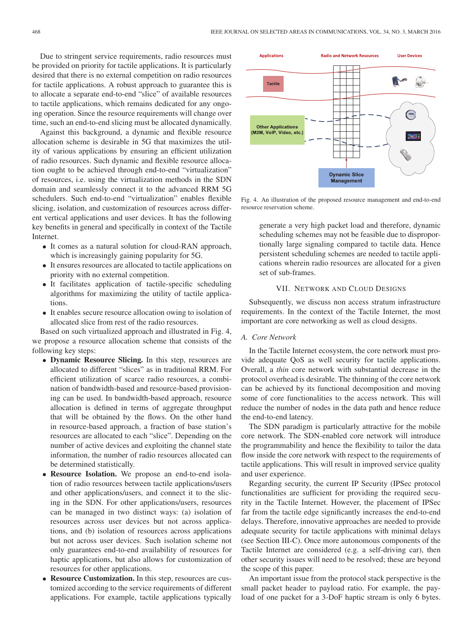Due to stringent service requirements, radio resources must be provided on priority for tactile applications. It is particularly desired that there is no external competition on radio resources for tactile applications. A robust approach to guarantee this is to allocate a separate end-to-end "slice" of available resources to tactile applications, which remains dedicated for any ongoing operation. Since the resource requirements will change over time, such an end-to-end slicing must be allocated dynamically.

Against this background, a dynamic and flexible resource allocation scheme is desirable in 5G that maximizes the utility of various applications by ensuring an efficient utilization of radio resources. Such dynamic and flexible resource allocation ought to be achieved through end-to-end "virtualization" of resources, i.e. using the virtualization methods in the SDN domain and seamlessly connect it to the advanced RRM 5G schedulers. Such end-to-end "virtualization" enables flexible slicing, isolation, and customization of resources across different vertical applications and user devices. It has the following key benefits in general and specifically in context of the Tactile Internet.

- It comes as a natural solution for cloud-RAN approach, which is increasingly gaining popularity for 5G.
- It ensures resources are allocated to tactile applications on priority with no external competition.
- It facilitates application of tactile-specific scheduling algorithms for maximizing the utility of tactile applications.
- It enables secure resource allocation owing to isolation of allocated slice from rest of the radio resources.

Based on such virtualized approach and illustrated in Fig. 4, we propose a resource allocation scheme that consists of the following key steps:

- **Dynamic Resource Slicing.** In this step, resources are allocated to different "slices" as in traditional RRM. For efficient utilization of scarce radio resources, a combination of bandwidth-based and resource-based provisioning can be used. In bandwidth-based approach, resource allocation is defined in terms of aggregate throughput that will be obtained by the flows. On the other hand in resource-based approach, a fraction of base station's resources are allocated to each "slice". Depending on the number of active devices and exploiting the channel state information, the number of radio resources allocated can be determined statistically.
- **Resource Isolation.** We propose an end-to-end isolation of radio resources between tactile applications/users and other applications/users, and connect it to the slicing in the SDN. For other applications/users, resources can be managed in two distinct ways: (a) isolation of resources across user devices but not across applications, and (b) isolation of resources across applications but not across user devices. Such isolation scheme not only guarantees end-to-end availability of resources for haptic applications, but also allows for customization of resources for other applications.
- **Resource Customization.** In this step, resources are customized according to the service requirements of different applications. For example, tactile applications typically



Fig. 4. An illustration of the proposed resource management and end-to-end resource reservation scheme.

generate a very high packet load and therefore, dynamic scheduling schemes may not be feasible due to disproportionally large signaling compared to tactile data. Hence persistent scheduling schemes are needed to tactile applications wherein radio resources are allocated for a given set of sub-frames.

# VII. NETWORK AND CLOUD DESIGNS

Subsequently, we discuss non access stratum infrastructure requirements. In the context of the Tactile Internet, the most important are core networking as well as cloud designs.

### *A. Core Network*

In the Tactile Internet ecosystem, the core network must provide adequate QoS as well security for tactile applications. Overall, a *thin* core network with substantial decrease in the protocol overhead is desirable. The thinning of the core network can be achieved by its functional decomposition and moving some of core functionalities to the access network. This will reduce the number of nodes in the data path and hence reduce the end-to-end latency.

The SDN paradigm is particularly attractive for the mobile core network. The SDN-enabled core network will introduce the programmability and hence the flexibility to tailor the data flow inside the core network with respect to the requirements of tactile applications. This will result in improved service quality and user experience.

Regarding security, the current IP Security (IPSec protocol functionalities are sufficient for providing the required security in the Tactile Internet. However, the placement of IPSec far from the tactile edge significantly increases the end-to-end delays. Therefore, innovative approaches are needed to provide adequate security for tactile applications with minimal delays (see Section III-C). Once more autonomous components of the Tactile Internet are considered (e.g. a self-driving car), then other security issues will need to be resolved; these are beyond the scope of this paper.

An important issue from the protocol stack perspective is the small packet header to payload ratio. For example, the payload of one packet for a 3-DoF haptic stream is only 6 bytes.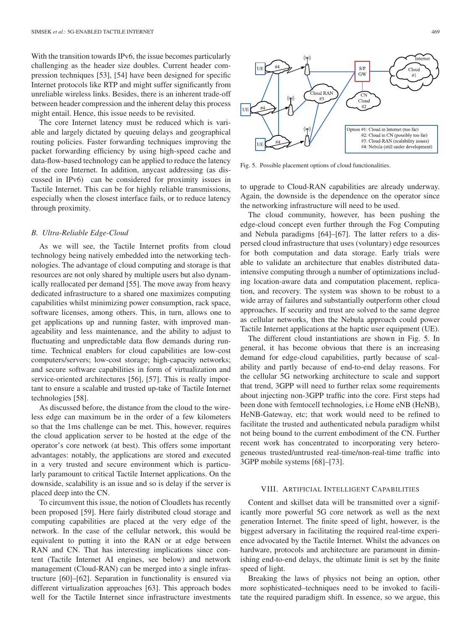With the transition towards IPv6, the issue becomes particularly challenging as the header size doubles. Current header compression techniques [53], [54] have been designed for specific Internet protocols like RTP and might suffer significantly from unreliable wireless links. Besides, there is an inherent trade-off between header compression and the inherent delay this process might entail. Hence, this issue needs to be revisited.

The core Internet latency must be reduced which is variable and largely dictated by queuing delays and geographical routing policies. Faster forwarding techniques improving the packet forwarding efficiency by using high-speed cache and data-flow-based technology can be applied to reduce the latency of the core Internet. In addition, anycast addressing (as discussed in IPv6) can be considered for proximity issues in Tactile Internet. This can be for highly reliable transmissions, especially when the closest interface fails, or to reduce latency through proximity.

#### *B. Ultra-Reliable Edge-Cloud*

As we will see, the Tactile Internet profits from cloud technology being natively embedded into the networking technologies. The advantage of cloud computing and storage is that resources are not only shared by multiple users but also dynamically reallocated per demand [55]. The move away from heavy dedicated infrastructure to a shared one maximizes computing capabilities whilst minimizing power consumption, rack space, software licenses, among others. This, in turn, allows one to get applications up and running faster, with improved manageability and less maintenance, and the ability to adjust to fluctuating and unpredictable data flow demands during runtime. Technical enablers for cloud capabilities are low-cost computers/servers; low-cost storage; high-capacity networks; and secure software capabilities in form of virtualization and service-oriented architectures [56], [57]. This is really important to ensure a scalable and trusted up-take of Tactile Internet technologies [58].

As discussed before, the distance from the cloud to the wireless edge can maximum be in the order of a few kilometers so that the 1ms challenge can be met. This, however, requires the cloud application server to be hosted at the edge of the operator's core network (at best). This offers some important advantages: notably, the applications are stored and executed in a very trusted and secure environment which is particularly paramount to critical Tactile Internet applications. On the downside, scalability is an issue and so is delay if the server is placed deep into the CN.

To circumvent this issue, the notion of Cloudlets has recently been proposed [59]. Here fairly distributed cloud storage and computing capabilities are placed at the very edge of the network. In the case of the cellular network, this would be equivalent to putting it into the RAN or at edge between RAN and CN. That has interesting implications since content (Tactile Internet AI engines, see below) and network management (Cloud-RAN) can be merged into a single infrastructure [60]–[62]. Separation in functionality is ensured via different virtualization approaches [63]. This approach bodes well for the Tactile Internet since infrastructure investments



Fig. 5. Possible placement options of cloud functionalities.

to upgrade to Cloud-RAN capabilities are already underway. Again, the downside is the dependence on the operator since the networking infrastructure will need to be used.

The cloud community, however, has been pushing the edge-cloud concept even further through the Fog Computing and Nebula paradigms [64]–[67]. The latter refers to a dispersed cloud infrastructure that uses (voluntary) edge resources for both computation and data storage. Early trials were able to validate an architecture that enables distributed dataintensive computing through a number of optimizations including location-aware data and computation placement, replication, and recovery. The system was shown to be robust to a wide array of failures and substantially outperform other cloud approaches. If security and trust are solved to the same degree as cellular networks, then the Nebula approach could power Tactile Internet applications at the haptic user equipment (UE).

The different cloud instantiations are shown in Fig. 5. In general, it has become obvious that there is an increasing demand for edge-cloud capabilities, partly because of scalability and partly because of end-to-end delay reasons. For the cellular 5G networking architecture to scale and support that trend, 3GPP will need to further relax some requirements about injecting non-3GPP traffic into the core. First steps had been done with femtocell technologies, i.e Home eNB (HeNB), HeNB-Gateway, etc; that work would need to be refined to facilitate the trusted and authenticated nebula paradigm whilst not being bound to the current embodiment of the CN. Further recent work has concentrated to incorporating very heterogeneous trusted/untrusted real-time/non-real-time traffic into 3GPP mobile systems [68]–[73].

# VIII. ARTIFICIAL INTELLIGENT CAPABILITIES

Content and skillset data will be transmitted over a significantly more powerful 5G core network as well as the next generation Internet. The finite speed of light, however, is the biggest adversary in facilitating the required real-time experience advocated by the Tactile Internet. Whilst the advances on hardware, protocols and architecture are paramount in diminishing end-to-end delays, the ultimate limit is set by the finite speed of light.

Breaking the laws of physics not being an option, other more sophisticated–techniques need to be invoked to facilitate the required paradigm shift. In essence, so we argue, this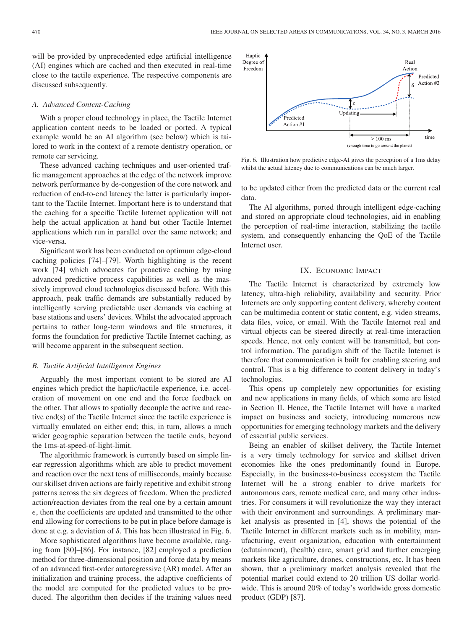will be provided by unprecedented edge artificial intelligence (AI) engines which are cached and then executed in real-time close to the tactile experience. The respective components are discussed subsequently.

#### *A. Advanced Content-Caching*

With a proper cloud technology in place, the Tactile Internet application content needs to be loaded or ported. A typical example would be an AI algorithm (see below) which is tailored to work in the context of a remote dentistry operation, or remote car servicing.

These advanced caching techniques and user-oriented traffic management approaches at the edge of the network improve network performance by de-congestion of the core network and reduction of end-to-end latency the latter is particularly important to the Tactile Internet. Important here is to understand that the caching for a specific Tactile Internet application will not help the actual application at hand but other Tactile Internet applications which run in parallel over the same network; and vice-versa.

Significant work has been conducted on optimum edge-cloud caching policies [74]–[79]. Worth highlighting is the recent work [74] which advocates for proactive caching by using advanced predictive process capabilities as well as the massively improved cloud technologies discussed before. With this approach, peak traffic demands are substantially reduced by intelligently serving predictable user demands via caching at base stations and users' devices. Whilst the advocated approach pertains to rather long-term windows and file structures, it forms the foundation for predictive Tactile Internet caching, as will become apparent in the subsequent section.

#### *B. Tactile Artificial Intelligence Engines*

Arguably the most important content to be stored are AI engines which predict the haptic/tactile experience, i.e. acceleration of movement on one end and the force feedback on the other. That allows to spatially decouple the active and reactive end(s) of the Tactile Internet since the tactile experience is virtually emulated on either end; this, in turn, allows a much wider geographic separation between the tactile ends, beyond the 1ms-at-speed-of-light-limit.

The algorithmic framework is currently based on simple linear regression algorithms which are able to predict movement and reaction over the next tens of milliseconds, mainly because our skillset driven actions are fairly repetitive and exhibit strong patterns across the six degrees of freedom. When the predicted action/reaction deviates from the real one by a certain amount  $\epsilon$ , then the coefficients are updated and transmitted to the other end allowing for corrections to be put in place before damage is done at e.g. a deviation of δ. This has been illustrated in Fig. 6.

More sophisticated algorithms have become available, ranging from [80]–[86]. For instance, [82] employed a prediction method for three-dimensional position and force data by means of an advanced first-order autoregressive (AR) model. After an initialization and training process, the adaptive coefficients of the model are computed for the predicted values to be produced. The algorithm then decides if the training values need



Fig. 6. Illustration how predictive edge-AI gives the perception of a 1ms delay whilst the actual latency due to communications can be much larger.

to be updated either from the predicted data or the current real data.

The AI algorithms, ported through intelligent edge-caching and stored on appropriate cloud technologies, aid in enabling the perception of real-time interaction, stabilizing the tactile system, and consequently enhancing the QoE of the Tactile Internet user.

# IX. ECONOMIC IMPACT

The Tactile Internet is characterized by extremely low latency, ultra-high reliability, availability and security. Prior Internets are only supporting content delivery, whereby content can be multimedia content or static content, e.g. video streams, data files, voice, or email. With the Tactile Internet real and virtual objects can be steered directly at real-time interaction speeds. Hence, not only content will be transmitted, but control information. The paradigm shift of the Tactile Internet is therefore that communication is built for enabling steering and control. This is a big difference to content delivery in today's technologies.

This opens up completely new opportunities for existing and new applications in many fields, of which some are listed in Section II. Hence, the Tactile Internet will have a marked impact on business and society, introducing numerous new opportunities for emerging technology markets and the delivery of essential public services.

Being an enabler of skillset delivery, the Tactile Internet is a very timely technology for service and skillset driven economies like the ones predominantly found in Europe. Especially, in the business-to-business ecosystem the Tactile Internet will be a strong enabler to drive markets for autonomous cars, remote medical care, and many other industries. For consumers it will revolutionize the way they interact with their environment and surroundings. A preliminary market analysis as presented in [4], shows the potential of the Tactile Internet in different markets such as in mobility, manufacturing, event organization, education with entertainment (edutainment), (health) care, smart grid and further emerging markets like agriculture, drones, constructions, etc. It has been shown, that a preliminary market analysis revealed that the potential market could extend to 20 trillion US dollar worldwide. This is around 20% of today's worldwide gross domestic product (GDP) [87].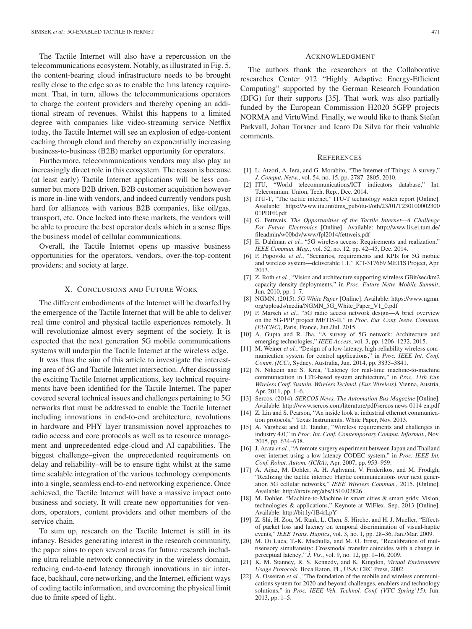The Tactile Internet will also have a repercussion on the telecommunications ecosystem. Notably, as illustrated in Fig. 5, the content-bearing cloud infrastructure needs to be brought really close to the edge so as to enable the 1ms latency requirement. That, in turn, allows the telecommunications operators to charge the content providers and thereby opening an additional stream of revenues. Whilst this happens to a limited degree with companies like video-streaming service Netflix today, the Tactile Internet will see an explosion of edge-content caching through cloud and thereby an exponentially increasing business-to-business (B2B) market opportunity for operators.

Furthermore, telecommunications vendors may also play an increasingly direct role in this ecosystem. The reason is because (at least early) Tactile Internet applications will be less consumer but more B2B driven. B2B customer acquisition however is more in-line with vendors, and indeed currently vendors push hard for alliances with various B2B companies, like oil/gas, transport, etc. Once locked into these markets, the vendors will be able to procure the best operator deals which in a sense flips the business model of cellular communications.

Overall, the Tactile Internet opens up massive business opportunities for the operators, vendors, over-the-top-content providers; and society at large.

#### X. CONCLUSIONS AND FUTURE WORK

The different embodiments of the Internet will be dwarfed by the emergence of the Tactile Internet that will be able to deliver real time control and physical tactile experiences remotely. It will revolutionize almost every segment of the society. It is expected that the next generation 5G mobile communications systems will underpin the Tactile Internet at the wireless edge.

It was thus the aim of this article to investigate the interesting area of 5G and Tactile Internet intersection. After discussing the exciting Tactile Internet applications, key technical requirements have been identified for the Tactile Internet. The paper covered several technical issues and challenges pertaining to 5G networks that must be addressed to enable the Tactile Internet including innovations in end-to-end architecture, revolutions in hardware and PHY layer transmission novel approaches to radio access and core protocols as well as to resource management and unprecedented edge-cloud and AI capabilities. The biggest challenge–given the unprecedented requirements on delay and reliability–will be to ensure tight whilst at the same time scalable integration of the various technology components into a single, seamless end-to-end networking experience. Once achieved, the Tactile Internet will have a massive impact onto business and society. It will create new opportunities for vendors, operators, content providers and other members of the service chain.

To sum up, research on the Tactile Internet is still in its infancy. Besides generating interest in the research community, the paper aims to open several areas for future research including ultra reliable network connectivity in the wireless domain, reducing end-to-end latency through innovations in air interface, backhaul, core networking, and the Internet, efficient ways of coding tactile information, and overcoming the physical limit due to finite speed of light.

#### ACKNOWLEDGMENT

The authors thank the researchers at the Collaborative researches Center 912 "Highly Adaptive Energy-Efficient Computing" supported by the German Research Foundation (DFG) for their supports [35]. That work was also partially funded by the European Commission H2020 5GPP projects NORMA and VirtuWind. Finally, we would like to thank Stefan Parkvall, Johan Torsner and Icaro Da Silva for their valuable comments.

#### **REFERENCES**

- [1] L. Atzori, A. Iera, and G. Morabito, "The Internet of Things: A survey," *J. Comput. Netw.*, vol. 54, no. 15, pp. 2787–2805, 2010.
- [2] ITU, "World telecommunications/ICT indicators database," Int. Telecommun. Union, Tech. Rep., Dec. 2014.
- [3] ITU-T, "The tactile internet," ITU-T technology watch report [Online]. Available: https://www.itu.int/dms\_pub/itu-t/oth/23/01/T230100002300 01PDFE.pdf
- [4] G. Fettweis. *The Opportunities of the Tactile Internet—A Challenge For Future Electronics* [Online]. Available: http://www.lis.ei.tum.de/ fileadmin/w00bdv/www/fpl2014/fettweis.pdf
- [5] E. Dahlman *et al.*, "5G wireless access: Requirements and realization," *IEEE Commun. Mag.*, vol. 52, no. 12, pp. 42–45, Dec. 2014.
- [6] P. Popovski *et al.*, "Scenarios, requirements and KPIs for 5G mobile and wireless system—deliverable 1.1," ICT-317669 METIS Project, Apr. 2013.
- [7] Z. Roth *et al.*, "Vision and architecture supporting wireless GBit/sec/km2 capacity density deployments," in *Proc. Future Netw. Mobile Summit*, Jun. 2010, pp. 1–7.
- [8] NGMN. (2015). *5G White Paper* [Online]. Available: https://www.ngmn. org/uploads/media/NGMN\_5G\_White\_Paper\_V1\_0.pdf
- [9] P. Marsch *et al.*, "5G radio access network design—A brief overview on the 5G-PPP project METIS-II," in *Proc. Eur. Conf. Netw. Commun. (EUCNC)*, Paris, France, Jun./Jul. 2015.
- [10] A. Gupta and R. Jha, "A survey of 5G network: Architecture and emerging technologies," *IEEE Access*, vol. 3, pp. 1206–1232, 2015.
- [11] M. Weiner et al., "Design of a low-latency, high-reliability wireless communication system for control applications," in *Proc. IEEE Int. Conf. Comm. (ICC)*, Sydney, Australia, Jun. 2014, pp. 3835–3841.
- [12] N. Nikaein and S. Krea, "Latency for real-time machine-to-machine communication in LTE-based system architecture," in *Proc. 11th Eur. Wireless Conf. Sustain. Wireless Technol. (Eur. Wireless)*, Vienna, Austria, Apr. 2011, pp. 1–6.
- [13] Sercos. (2014). *SERCOS News, The Automation Bus Magazine* [Online]. Available: http://www.sercos.com/literature/pdf/sercos news 0114 en.pdf
- [14] Z. Lin and S. Pearson, "An inside look at industrial ethernet communication protocols," Texas Instruments, White Paper, Nov. 2013.
- [15] A. Varghese and D. Tandur, "Wireless requirements and challenges in industry 4.0," in *Proc. Int. Conf. Comtemporary Comput. Informat.*, Nov. 2015, pp. 634–638.
- [16] J. Arata *et al.*, "A remote surgery experiment between Japan and Thailand over internet using a low latency CODEC system," in *Proc. IEEE Int. Conf. Robot. Autom. (ICRA)*, Apr. 2007, pp. 953–959.
- [17] A. Aijaz, M. Dohler, A. H. Aghvami, V. Friderikos, and M. Frodigh, "Realizing the tactile internet: Haptic communications over next generation 5G cellular networks," *IEEE Wireless Commun.*, 2015. [Online]. Available: http://arxiv.org/abs/1510.02826
- [18] M. Dohler, "Machine-to-Machine in smart cities & smart grids: Vision, technologies & applications," Keynote at WiFlex, Sep. 2013 [Online]. Available: http://bit.ly/1B4rLpY
- [19] Z. Shi, H. Zou, M. Rank, L. Chen, S. Hirche, and H. J. Mueller, "Effects of packet loss and latency on temporal discrimination of visual-haptic events," *IEEE Trans. Haptics*, vol. 3, no. 1, pp. 28–36, Jan./Mar. 2009.
- [20] M. Di Luca, T.-K. Machulla, and M. O. Ernst, "Recalibration of multisensory simultaneity: Crossmodal transfer coincides with a change in perceptual latency," *J. Vis.*, vol. 9, no. 12, pp. 1–16, 2009.
- [21] K. M. Stanney, R. S. Kennedy, and K. Kingdon, *Virtual Environment Usage Protocols*. Boca Raton, FL, USA: CRC Press, 2002.
- [22] A. Osseiran *et al.*, "The foundation of the mobile and wireless communications system for 2020 and beyond challenges, enablers and technology solutions," in *Proc. IEEE Veh. Technol. Conf. (VTC Spring'15)*, Jun. 2013, pp. 1–5.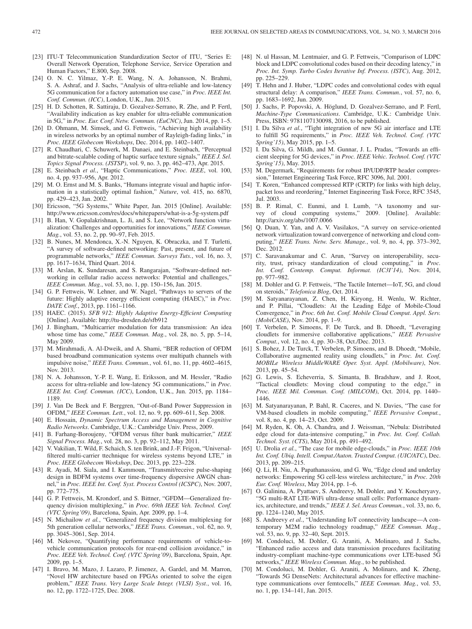- [23] ITU-T Telecommunication Standardization Sector of ITU, "Series E: Overall Network Operation, Telephone Service, Service Operation and Human Factors," E.800, Sep. 2008.
- [24] O. N. C. Yilmaz, Y.-P. E. Wang, N. A. Johansson, N. Brahmi, S. A. Ashraf, and J. Sachs, "Analysis of ultra-reliable and low-latency 5G communication for a factory automation use case," in *Proc. IEEE Int. Conf. Commun. (ICC)*, London, U.K., Jun. 2015.
- [25] H. D. Schotten, R. Sattiraju, D. Gozalvez-Serrano, R. Zhe, and P. Fertl, "Availability indication as key enabler for ultra-reliable communication in 5G," in *Proc. Eur. Conf. Netw. Commun. (EuCNC)*, Jun. 2014, pp. 1–5.
- [26] D. Ohmann, M. Simsek, and G. Fettweis, "Achieving high availability in wireless networks by an optimal number of Rayleigh-fading links," in *Proc. IEEE Globecom Workshops*, Dec. 2014, pp. 1402–1407.
- [27] R. Chaudhari, C. Schuwerk, M. Danaei, and E. Steinbach, "Perceptual and bitrate-scalable coding of haptic surface texture signals," *IEEE J. Sel. Topics Signal Process. (JSTSP)*, vol. 9, no. 3, pp. 462–473, Apr. 2015.
- [28] E. Steinbach *et al.*, "Haptic Communications," *Proc. IEEE*, vol. 100, no. 4, pp. 937–956, Apr. 2012.
- [29] M. O. Ernst and M. S. Banks, "Humans integrate visual and haptic information in a statistically optimal fashion," *Nature*, vol. 415, no. 6870, pp. 429–423, Jan. 2002.
- [30] Ericsson, "5G Systems," White Paper, Jan. 2015 [Online]. Available: http://www.ericsson.com/res/docs/whitepapers/what-is-a-5g-system.pdf
- [31] B. Han, V. Gopalakrishnan, L. Ji, and S. Lee, "Network function virtualization: Challenges and opportunities for innovations," *IEEE Commun. Mag.*, vol. 53, no. 2, pp. 90–97, Feb. 2015.
- [32] B. Nunes, M. Mendonca, X.-N. Nguyen, K. Obraczka, and T. Turletti, "A survey of software-defined networking: Past, present, and future of programmable networks," *IEEE Commun. Surveys Tuts.*, vol. 16, no. 3, pp. 1617–1634, Third Quart. 2014.
- [33] M. Arslan, K. Sundaresan, and S. Rangarajan, "Software-defined networking in cellular radio access networks: Potential and challenges," *IEEE Commun. Mag.*, vol. 53, no. 1, pp. 150–156, Jan. 2015.
- [34] G. P. Fettweis, W. Lehner, and W. Nagel, "Pathways to servers of the future: Highly adaptive energy efficient computing (HAEC)," in *Proc. DATE Conf.*, 2013, pp. 1161–1166.
- [35] HAEC. (2015). *SFB 912: Highly Adaptive Energy-Efficient Computing* [Online]. Available: http://tu-dresden.de/sfb912
- [36] J. Bingham, "Multicarrier modulation for data transmission: An idea whose time has come," *IEEE Commun. Mag.*, vol. 28, no. 5, pp. 5–14, May 2009.
- [37] M. Mirahmadi, A. Al-Dweik, and A. Shami, "BER reduction of OFDM based broadband communication systems over multipath channels with impulsive noise," *IEEE Trans. Commun.*, vol. 61, no. 11, pp. 4602–4615, Nov. 2013.
- [38] N. A. Johansson, Y.-P. E. Wang, E. Eriksson, and M. Hessler, "Radio access for ultra-reliable and low-latency 5G communications," in *Proc. IEEE Int. Conf. Commun. (ICC)*, London, U.K., Jun. 2015, pp. 1184– 1189.
- [39] J. Van De Beek and F. Berggren, "Out-of-Band Power Suppression in OFDM," *IEEE Commun. Lett.*, vol. 12, no. 9, pp. 609–611, Sep. 2008.
- [40] E. Hossain, *Dynamic Spectrum Access and Management in Cognitive Radio Networks*. Cambridge, U.K.: Cambridge Univ. Press, 2009.
- [41] B. Farhang-Boroujeny, "OFDM versus filter bank multicarrier," *IEEE Signal Process. Mag.*, vol. 28, no. 3, pp. 92–112, May 2011.
- [42] V. Vakilian, T. Wild, F. Schaich, S. ten Brink, and J.-F. Frigon, "Universalfiltered multi-carrier ttechnique for wireless systems beyond LTE," in *Proc. IEEE Globecom Workshop*, Dec. 2013, pp. 223–228.
- [43] R. Ayadi, M. Siala, and I. Kammoun, "Transmit/receive pulse-shaping design in BDFM systems over time-frequency dispersive AWGN channel," in *Proc. IEEE Int. Conf. Syst. Process Control (ICSPC)*, Nov. 2007, pp. 772–775.
- [44] G. P. Fettweis, M. Krondorf, and S. Bittner, "GFDM-Generalized frequency division multiplexing," in *Proc. 69th IEEE Veh. Technol. Conf. (VTC Spring'09)*, Barcelona, Spain, Apr. 2009, pp. 1–4.
- [45] N. Michailow *et al.*, "Generalized frequency division multiplexing for 5th generation cellular networks," *IEEE Trans. Commun.*, vol. 62, no. 9, pp. 3045–3061, Sep. 2014.
- [46] M. Nekovee, "Quantifying performance requirements of vehicle-tovehicle communication protocols for rear-end collision avoidance," in *Proc. IEEE Veh. Technol. Conf. (VTC Spring'09)*, Barcelona, Spain, Apr. 2009, pp. 1–5.
- [47] I. Bravo, M. Mazo, J. Lazaro, P. Jimenez, A. Gardel, and M. Marron, "Novel HW architecture based on FPGAs oriented to solve the eigen problem," *IEEE Trans. Very Large Scale Integr. (VLSI) Syst.*, vol. 16, no. 12, pp. 1722–1725, Dec. 2008.
- [48] N. ul Hassan, M. Lentmaier, and G. P. Fettweis, "Comparison of LDPC block and LDPC convolutional codes based on their decoding latency," in *Proc. Int. Symp. Turbo Codes Iterative Inf. Process. (ISTC)*, Aug. 2012, pp. 225–229.
- [49] T. Hehn and J. Huber, "LDPC codes and convolutional codes with equal structural delay: A comparison," *IEEE Trans. Commun.*, vol. 57, no. 6, pp. 1683–1692, Jun. 2009.
- [50] J. Sachs, P. Popovski, A. Höglund, D. Gozalvez-Serrano, and P. Fertl, *Machine-Type Communications*. Cambridge, U.K.: Cambridge Univ. Press, ISBN: 9781107130098, 2016, to be published.
- [51] I. Da Silva *et al.*, "Tight integration of new 5G air interface and LTE to fulfill 5G requirements," in *Proc. IEEE Veh. Technol. Conf. (VTC Spring'15)*, May 2015, pp. 1–5.
- [52] I. Da Silva, G. Mildh, and M. Gunnar, J. L. Pradas, "Towards an efficient sleeping for 5G devices," in *Proc. IEEE Vehic. Technol. Conf. (VTC Spring'15)*, May. 2015.
- [53] M. Degermark, "Requirements for robust IP/UDP/RTP header compression," Internet Engineering Task Force, RFC 3096, Jul. 2001.
- [54] T. Koren, "Enhanced compressed RTP (CRTP) for links with high delay, packet loss and reordering," Internet Engineering Task Force, RFC 3545, Jul. 2003.
- [55] B. P. Rimal, C. Eunmi, and I. Lumb, "A taxonomy and survey of cloud computing systems," 2009. [Online]. Available: http://arxiv.org/abs/1007.0066
- [56] Q. Duan, Y. Yan, and A. V. Vasilakos, "A survey on service-oriented network virtualization toward convergence of networking and cloud computing," *IEEE Trans. Netw. Serv. Manage.*, vol. 9, no. 4, pp. 373–392, Dec. 2012.
- [57] C. Saravanakumar and C. Arun, "Survey on interoperability, security, trust, privacy standardization of cloud computing," in *Proc. Int. Conf. Contemp. Comput. Informat. (IC3I'14)*, Nov. 2014, pp. 977–982.
- [58] M. Dohler and G. P. Fettweis, "The Tactile Internet—IoT, 5G, and cloud on steroids," *Telefonica Blog*, Oct. 2014.
- [59] M. Satyanarayanan, Z. Chen, H. Kiryong, H. Wenlu, W. Richter, and P. Pillai, "Cloudlets: At the Leading Edge of Mobile-Cloud Convergence," in *Proc. 6th Int. Conf. Mobile Cloud Comput. Appl. Serv. (MobiCASE)*, Nov. 2014, pp. 1–9.
- [60] T. Verbelen, P. Simoens, F. De Turck, and B. Dhoedt, "Leveraging cloudlets for immersive collaborative applications," *IEEE Pervasive Comput.*, vol. 12, no. 4, pp. 30–38, Oct./Dec. 2013.
- [61] S. Bohez, J. De Turck, T. Verbelen, P. Simoens, and B. Dhoedt, "Mobile, Collaborative augmented reality using cloudlets," in *Proc. Int. Conf. MOBILe Wireless MiddleWARE Oper. Syst. Appl. (Mobilware)*, Nov. 2013, pp. 45–54.
- [62] G. Lewis, S. Echeverria, S. Simanta, B. Bradshaw, and J. Root, "Tactical cloudlets: Moving cloud computing to the edge," in *Proc. IEEE Mil. Commun. Conf. (MILCOM)*, Oct. 2014, pp. 1440– 1446.
- [63] M. Satyanarayanan, P. Bahl, R. Caceres, and N. Davies, "The case for VM-based cloudlets in mobile computing," *IEEE Pervasive Comput.*, vol. 8, no. 4, pp. 14–23, Oct. 2009.
- [64] M. Ryden, K. Oh, A. Chandra, and J. Weissman, "Nebula: Distributed edge cloud for data-intensive computing," in *Proc. Int. Conf. Collab. Technol. Syst. (CTS)*, May 2014, pp. 491–492.
- [65] U. Drolia *et al.*, "The case for mobile edge-clouds," in *Proc. IEEE 10th Int. Conf. Ubiq. Intell. Comput./Auton. Trusted Comput. (UIC/ATC)*, Dec. 2013, pp. 209–215.
- [66] Q. Li, H. Niu, A. Papathanassiou, and G. Wu, "Edge cloud and underlay networks: Empowering 5G cell-less wireless architecture," in *Proc. 20th Eur. Conf. Wireless*, May 2014, pp. 1–6.
- [67] O. Galinina, A. Pyattaev, S. Andreevy, M. Dohler, and Y. Koucheryavy, "5G multi-RAT LTE-WiFi ultra-dense small cells: Performance dynamics, architecture, and trends," *IEEE J. Sel. Areas Commun.*, vol. 33, no. 6, pp. 1224–1240, May 2015.
- [68] S. Andreevy *et al.*, "Understanding IoT connectivity landscape—A contemporary M2M radio technology roadmap," *IEEE Commun. Mag.*, vol. 53, no. 9, pp. 32–40, Sept. 2015.
- [69] M. Condoluci, M. Dohler, G. Araniti, A. Molinaro, and J. Sachs, "Enhanced radio access and data transmission procedures facilitating industry-compliant machine-type communications over LTE-based 5G networks," *IEEE Wireless Commun. Mag.*, to be published.
- [70] M. Condoluci, M. Dohler, G. Araniti, A. Molinaro, and K. Zheng, "Towards 5G DenseNets: Architectural advances for effective machinetype communications over femtocells," *IEEE Commun. Mag.*, vol. 53, no. 1, pp. 134–141, Jan. 2015.